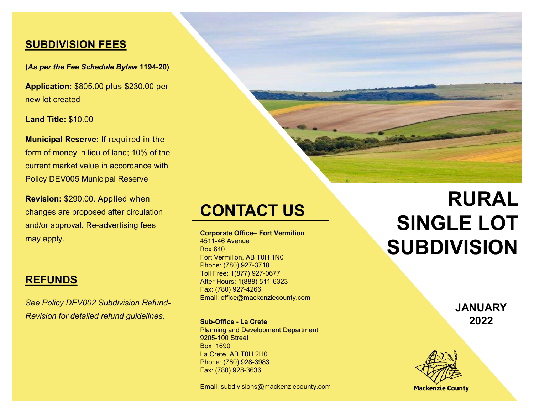#### **SUBDIVISION FEES**

**(***As per the Fee Schedule Bylaw* **1194-20)**

**Application:** \$805.00 plus \$230.00 per new lot created

**Land Title:** \$10.00

**Municipal Reserve:** If required in the form of money in lieu of land; 10% of the current market value in accordance with Policy DEV005 Municipal Reserve

**Revision:** \$290.00. Applied when changes are proposed after circulation and/or approval. Re-advertising fees may apply.

### **REFUNDS**

*See Policy DEV002 Subdivision Refund-Revision for detailed refund guidelines.*

## **CONTACT US**

**Corporate Office– Fort Vermilion** 4511-46 Avenue Box 640 Fort Vermilion, AB T0H 1N0 Phone: (780) 927-3718 Toll Free: 1(877) 927-0677 After Hours: 1(888) 511-6323 Fax: (780) 927-4266 Email: office@mackenziecounty.com

**Sub-Office - La Crete** Planning and Development Department 9205-100 Street Box 1690 La Crete, AB T0H 2H0 Phone: (780) 928-3983 Fax: (780) 928-3636

Email: subdivisions@mackenziecounty.com

# **RURAL SINGLE LOT SUBDIVISION**

**JANUARY 2022** 



**Mackenzie County**